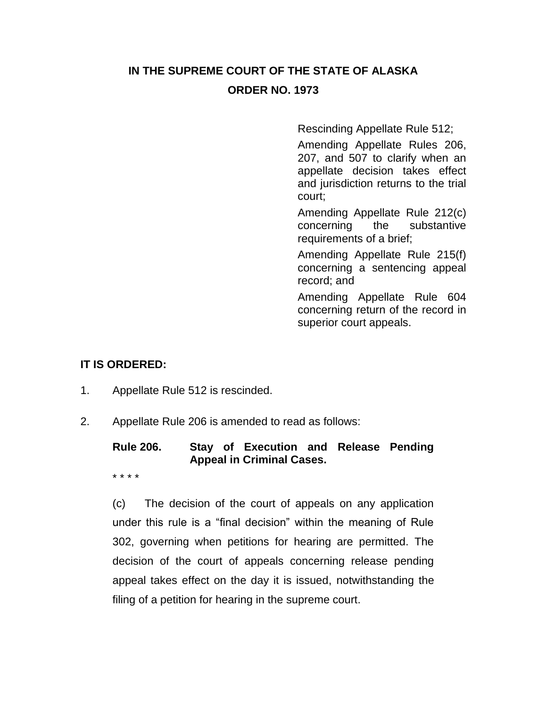# **IN THE SUPREME COURT OF THE STATE OF ALASKA ORDER NO. 1973**

Rescinding Appellate Rule 512;

Amending Appellate Rules 206, 207, and 507 to clarify when an appellate decision takes effect and jurisdiction returns to the trial court;

Amending Appellate Rule 212(c) concerning the substantive requirements of a brief;

Amending Appellate Rule 215(f) concerning a sentencing appeal record; and

Amending Appellate Rule 604 concerning return of the record in superior court appeals.

#### **IT IS ORDERED:**

- 1. Appellate Rule 512 is rescinded.
- 2. Appellate Rule 206 is amended to read as follows:

# **Rule 206. Stay of Execution and Release Pending Appeal in Criminal Cases.**

\* \* \* \*

(c) The decision of the court of appeals on any application under this rule is a "final decision" within the meaning of Rule 302, governing when petitions for hearing are permitted. The decision of the court of appeals concerning release pending appeal takes effect on the day it is issued, notwithstanding the filing of a petition for hearing in the supreme court.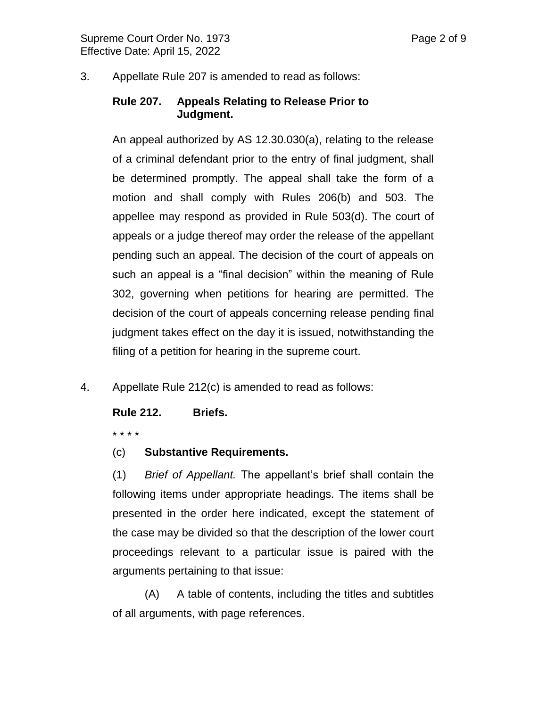3. Appellate Rule 207 is amended to read as follows:

# **Rule 207. Appeals Relating to Release Prior to Judgment.**

An appeal authorized by AS 12.30.030(a), relating to the release of a criminal defendant prior to the entry of final judgment, shall be determined promptly. The appeal shall take the form of a motion and shall comply with Rules 206(b) and 503. The appellee may respond as provided in Rule 503(d). The court of appeals or a judge thereof may order the release of the appellant pending such an appeal. The decision of the court of appeals on such an appeal is a "final decision" within the meaning of Rule 302, governing when petitions for hearing are permitted. The decision of the court of appeals concerning release pending final judgment takes effect on the day it is issued, notwithstanding the filing of a petition for hearing in the supreme court.

4. Appellate Rule 212(c) is amended to read as follows:

#### **Rule 212. Briefs.**

\* \* \* \*

(c) **Substantive Requirements.** 

(1) *Brief of Appellant.* The appellant's brief shall contain the following items under appropriate headings. The items shall be presented in the order here indicated, except the statement of the case may be divided so that the description of the lower court proceedings relevant to a particular issue is paired with the arguments pertaining to that issue:

(A) A table of contents, including the titles and subtitles of all arguments, with page references.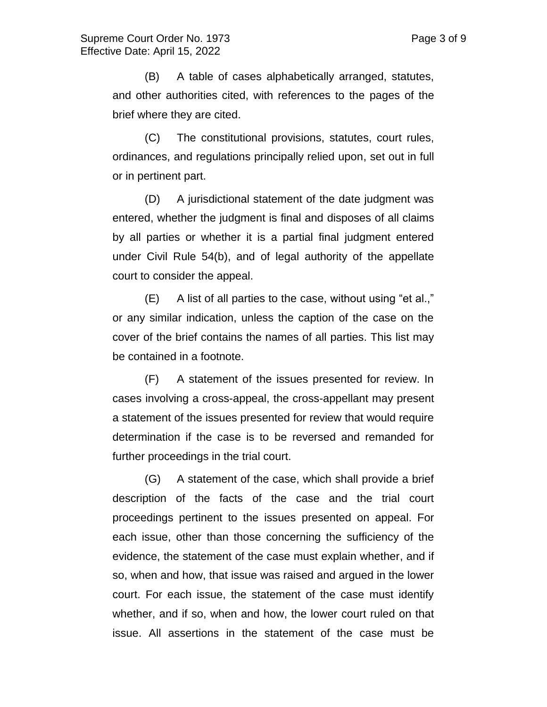(B) A table of cases alphabetically arranged, statutes, and other authorities cited, with references to the pages of the brief where they are cited.

(C) The constitutional provisions, statutes, court rules, ordinances, and regulations principally relied upon, set out in full or in pertinent part.

(D) A jurisdictional statement of the date judgment was entered, whether the judgment is final and disposes of all claims by all parties or whether it is a partial final judgment entered under Civil Rule 54(b), and of legal authority of the appellate court to consider the appeal.

(E) A list of all parties to the case, without using "et al.," or any similar indication, unless the caption of the case on the cover of the brief contains the names of all parties. This list may be contained in a footnote.

(F) A statement of the issues presented for review. In cases involving a cross-appeal, the cross-appellant may present a statement of the issues presented for review that would require determination if the case is to be reversed and remanded for further proceedings in the trial court.

(G) A statement of the case, which shall provide a brief description of the facts of the case and the trial court proceedings pertinent to the issues presented on appeal. For each issue, other than those concerning the sufficiency of the evidence, the statement of the case must explain whether, and if so, when and how, that issue was raised and argued in the lower court. For each issue, the statement of the case must identify whether, and if so, when and how, the lower court ruled on that issue. All assertions in the statement of the case must be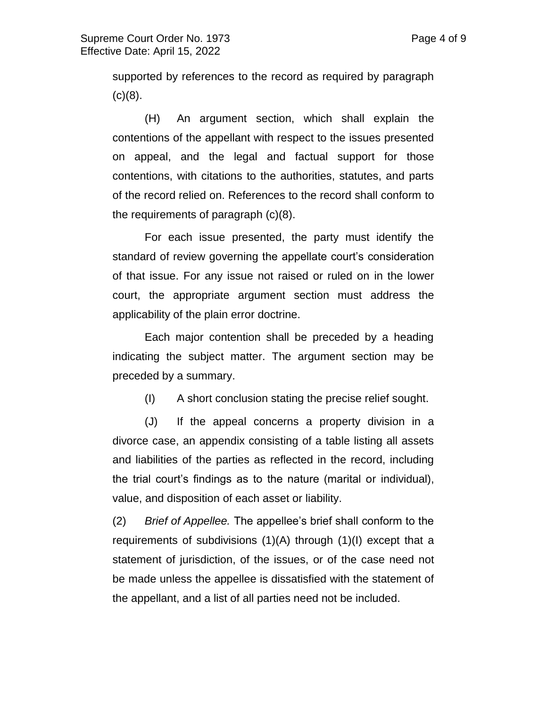supported by references to the record as required by paragraph  $(c)(8)$ .

(H) An argument section, which shall explain the contentions of the appellant with respect to the issues presented on appeal, and the legal and factual support for those contentions, with citations to the authorities, statutes, and parts of the record relied on. References to the record shall conform to the requirements of paragraph (c)(8).

For each issue presented, the party must identify the standard of review governing the appellate court's consideration of that issue. For any issue not raised or ruled on in the lower court, the appropriate argument section must address the applicability of the plain error doctrine.

Each major contention shall be preceded by a heading indicating the subject matter. The argument section may be preceded by a summary.

(I) A short conclusion stating the precise relief sought.

(J) If the appeal concerns a property division in a divorce case, an appendix consisting of a table listing all assets and liabilities of the parties as reflected in the record, including the trial court's findings as to the nature (marital or individual), value, and disposition of each asset or liability.

(2) *Brief of Appellee.* The appellee's brief shall conform to the requirements of subdivisions (1)(A) through (1)(I) except that a statement of jurisdiction, of the issues, or of the case need not be made unless the appellee is dissatisfied with the statement of the appellant, and a list of all parties need not be included.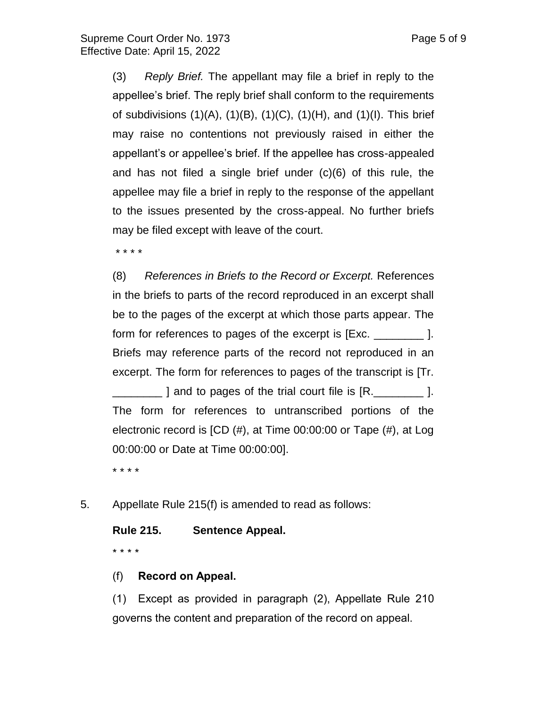(3) *Reply Brief.* The appellant may file a brief in reply to the appellee's brief. The reply brief shall conform to the requirements of subdivisions  $(1)(A)$ ,  $(1)(B)$ ,  $(1)(C)$ ,  $(1)(H)$ , and  $(1)(I)$ . This brief may raise no contentions not previously raised in either the appellant's or appellee's brief. If the appellee has cross-appealed and has not filed a single brief under (c)(6) of this rule, the appellee may file a brief in reply to the response of the appellant to the issues presented by the cross-appeal. No further briefs may be filed except with leave of the court.

\* \* \* \*

(8) *References in Briefs to the Record or Excerpt.* References in the briefs to parts of the record reproduced in an excerpt shall be to the pages of the excerpt at which those parts appear. The form for references to pages of the excerpt is [Exc. \_\_\_\_\_\_\_\_ ]. Briefs may reference parts of the record not reproduced in an excerpt. The form for references to pages of the transcript is [Tr.  $\Box$  ] and to pages of the trial court file is  $\mathsf{[R.]}$ The form for references to untranscribed portions of the electronic record is [CD (#), at Time 00:00:00 or Tape (#), at Log 00:00:00 or Date at Time 00:00:00].

\* \* \* \*

5. Appellate Rule 215(f) is amended to read as follows:

# **Rule 215. Sentence Appeal.**

\* \* \* \*

#### (f) **Record on Appeal.**

(1) Except as provided in paragraph (2), Appellate Rule 210 governs the content and preparation of the record on appeal.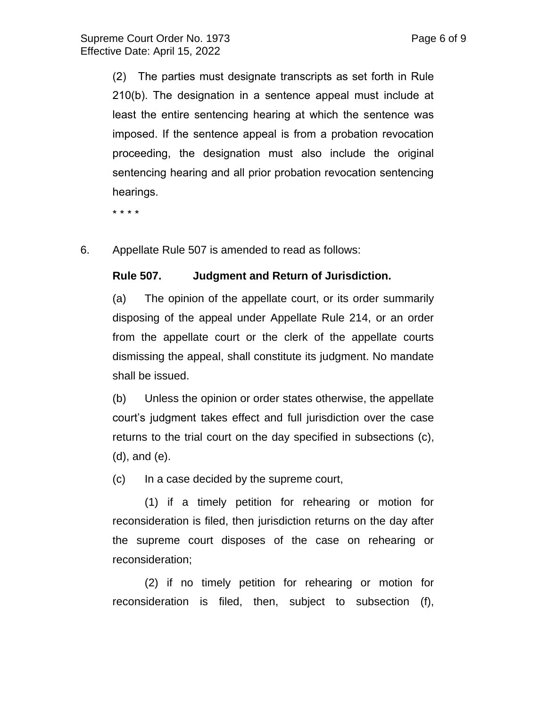(2) The parties must designate transcripts as set forth in Rule 210(b). The designation in a sentence appeal must include at least the entire sentencing hearing at which the sentence was imposed. If the sentence appeal is from a probation revocation proceeding, the designation must also include the original sentencing hearing and all prior probation revocation sentencing hearings.

\* \* \* \*

6. Appellate Rule 507 is amended to read as follows:

#### **Rule 507. Judgment and Return of Jurisdiction.**

(a) The opinion of the appellate court, or its order summarily disposing of the appeal under Appellate Rule 214, or an order from the appellate court or the clerk of the appellate courts dismissing the appeal, shall constitute its judgment. No mandate shall be issued.

(b) Unless the opinion or order states otherwise, the appellate court's judgment takes effect and full jurisdiction over the case returns to the trial court on the day specified in subsections (c), (d), and (e).

(c) In a case decided by the supreme court,

(1) if a timely petition for rehearing or motion for reconsideration is filed, then jurisdiction returns on the day after the supreme court disposes of the case on rehearing or reconsideration;

(2) if no timely petition for rehearing or motion for reconsideration is filed, then, subject to subsection (f),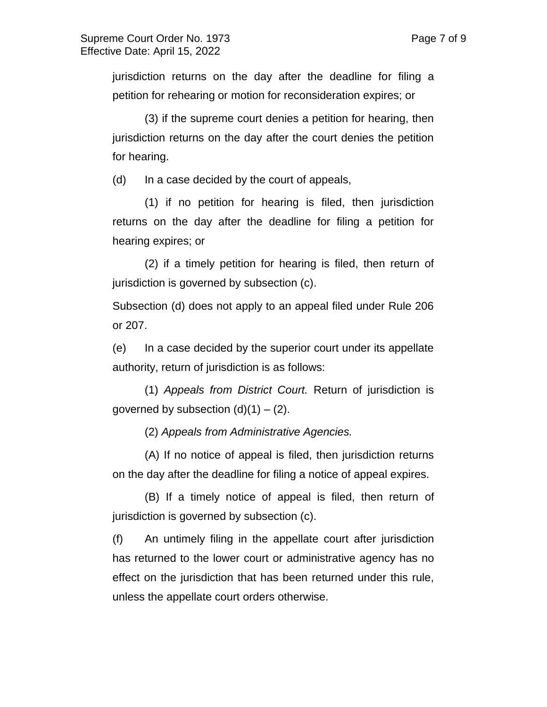jurisdiction returns on the day after the deadline for filing a petition for rehearing or motion for reconsideration expires; or

(3) if the supreme court denies a petition for hearing, then jurisdiction returns on the day after the court denies the petition for hearing.

(d) In a case decided by the court of appeals,

(1) if no petition for hearing is filed, then jurisdiction returns on the day after the deadline for filing a petition for hearing expires; or

(2) if a timely petition for hearing is filed, then return of jurisdiction is governed by subsection (c).

Subsection (d) does not apply to an appeal filed under Rule 206 or 207.

(e) In a case decided by the superior court under its appellate authority, return of jurisdiction is as follows:

(1) *Appeals from District Court.* Return of jurisdiction is governed by subsection  $(d)(1) - (2)$ .

(2) *Appeals from Administrative Agencies.* 

(A) If no notice of appeal is filed, then jurisdiction returns on the day after the deadline for filing a notice of appeal expires.

(B) If a timely notice of appeal is filed, then return of jurisdiction is governed by subsection (c).

(f) An untimely filing in the appellate court after jurisdiction has returned to the lower court or administrative agency has no effect on the jurisdiction that has been returned under this rule, unless the appellate court orders otherwise.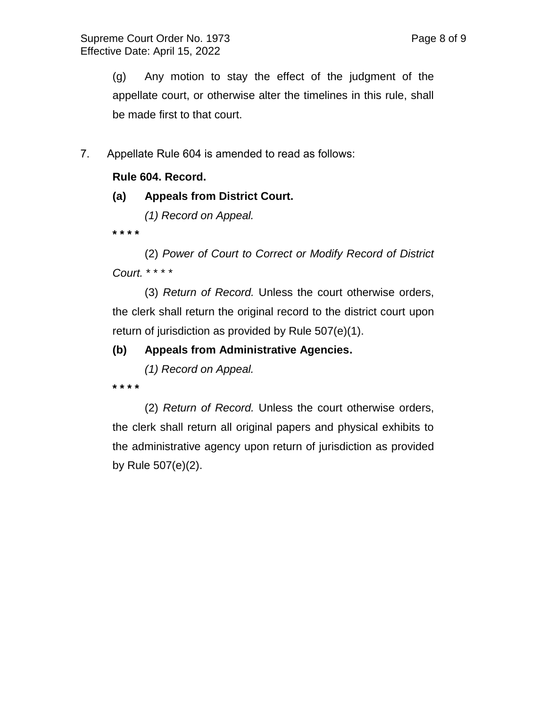(g) Any motion to stay the effect of the judgment of the appellate court, or otherwise alter the timelines in this rule, shall be made first to that court.

7. Appellate Rule 604 is amended to read as follows:

# **Rule 604. Record.**

## **(a) Appeals from District Court.**

*(1) Record on Appeal.*

**\* \* \* \***

(2) *Power of Court to Correct or Modify Record of District Court.* \* \* \* \*

(3) *Return of Record.* Unless the court otherwise orders, the clerk shall return the original record to the district court upon return of jurisdiction as provided by Rule 507(e)(1).

# **(b) Appeals from Administrative Agencies.**

*(1) Record on Appeal.*

**\* \* \* \***

(2) *Return of Record.* Unless the court otherwise orders, the clerk shall return all original papers and physical exhibits to the administrative agency upon return of jurisdiction as provided by Rule 507(e)(2).